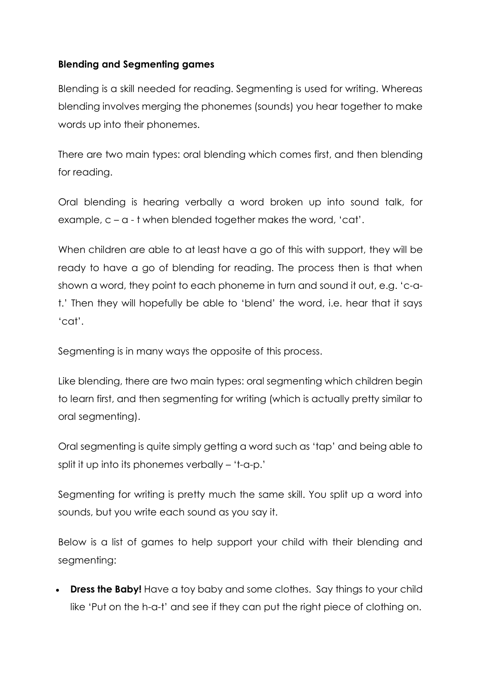## **Blending and Segmenting games**

Blending is a skill needed for reading. Segmenting is used for writing. Whereas blending involves merging the phonemes (sounds) you hear together to make words up into their phonemes.

There are two main types: oral blending which comes first, and then blending for reading.

Oral blending is hearing verbally a word broken up into sound talk, for example, c – a - t when blended together makes the word, 'cat'.

When children are able to at least have a go of this with support, they will be ready to have a go of blending for reading. The process then is that when shown a word, they point to each phoneme in turn and sound it out, e.g. 'c-at.' Then they will hopefully be able to 'blend' the word, i.e. hear that it says 'cat'.

Segmenting is in many ways the opposite of this process.

Like blending, there are two main types: oral segmenting which children begin to learn first, and then segmenting for writing (which is actually pretty similar to oral segmenting).

Oral segmenting is quite simply getting a word such as 'tap' and being able to split it up into its phonemes verbally – 't-a-p.'

Segmenting for writing is pretty much the same skill. You split up a word into sounds, but you write each sound as you say it.

Below is a list of games to help support your child with their blending and segmenting:

• **Dress the Baby!** Have a toy baby and some clothes. Say things to your child like 'Put on the h-a-t' and see if they can put the right piece of clothing on.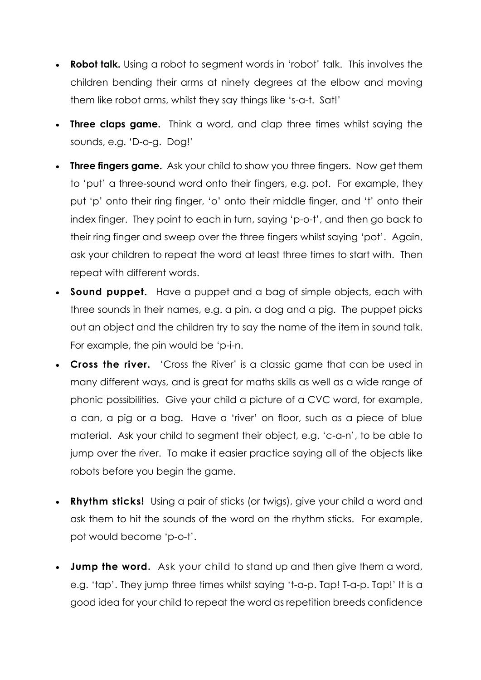- **Robot talk.** Using a robot to segment words in 'robot' talk. This involves the children bending their arms at ninety degrees at the elbow and moving them like robot arms, whilst they say things like 's-a-t. Sat!'
- **Three claps game.** Think a word, and clap three times whilst saying the sounds, e.g. 'D-o-g. Dog!'
- **Three fingers game.** Ask your child to show you three fingers. Now get them to 'put' a three-sound word onto their fingers, e.g. pot. For example, they put 'p' onto their ring finger, 'o' onto their middle finger, and 't' onto their index finger. They point to each in turn, saying 'p-o-t', and then go back to their ring finger and sweep over the three fingers whilst saying 'pot'. Again, ask your children to repeat the word at least three times to start with. Then repeat with different words.
- **Sound puppet.** Have a puppet and a bag of simple objects, each with three sounds in their names, e.g. a pin, a dog and a pig. The puppet picks out an object and the children try to say the name of the item in sound talk. For example, the pin would be 'p-i-n.
- **Cross the river.** 'Cross the River' is a classic game that can be used in many different ways, and is great for maths skills as well as a wide range of phonic possibilities. Give your child a picture of a CVC word, for example, a can, a pig or a bag. Have a 'river' on floor, such as a piece of blue material. Ask your child to segment their object, e.g. 'c-a-n', to be able to jump over the river. To make it easier practice saying all of the objects like robots before you begin the game.
- **Rhythm sticks!** Using a pair of sticks (or twigs), give your child a word and ask them to hit the sounds of the word on the rhythm sticks. For example, pot would become 'p-o-t'.
- **Jump the word.** Ask your child to stand up and then give them a word, e.g. 'tap'. They jump three times whilst saying 't-a-p. Tap! T-a-p. Tap!' It is a good idea for your child to repeat the word as repetition breeds confidence